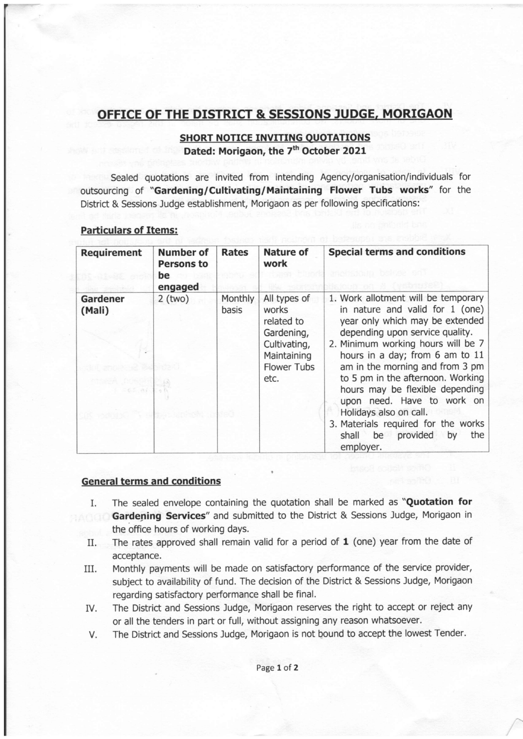## OFFICE OF THE DISTRICT & SESSIONS JUDGE, MORIGAON

## SHORT NOTICE INVITING QUOTATIONS Dated: Morigaon, the 7<sup>th</sup> October 2021

Sealed quotations are invited from intending Agency/organisation/individuals for outsourcing of "Gardening/Cultivating/Maintaining Flower Tubs works" for the District & Sessions Judge establishment, Morigaon as per following specifications:

| <b>Particulars of Items:</b> |  |
|------------------------------|--|
|------------------------------|--|

| <b>Requirement</b>                      | <b>Number of</b><br><b>Persons to</b><br>be<br>engaged | <b>Rates</b>     | <b>Nature of</b><br>work                                                                                       | <b>Special terms and conditions</b><br>STATISTICS IN THE CAR                                                                                                                                                                                                                                                                                                                                                                                                                  |
|-----------------------------------------|--------------------------------------------------------|------------------|----------------------------------------------------------------------------------------------------------------|-------------------------------------------------------------------------------------------------------------------------------------------------------------------------------------------------------------------------------------------------------------------------------------------------------------------------------------------------------------------------------------------------------------------------------------------------------------------------------|
| <b>Gardener</b><br>(Mali)<br>$-65 - 04$ | $2$ (two)                                              | Monthly<br>basis | All types of<br>works<br>related to<br>Gardening,<br>Cultivating,<br>Maintaining<br><b>Flower Tubs</b><br>etc. | 1. Work allotment will be temporary<br>in nature and valid for $1$ (one)<br>year only which may be extended<br>depending upon service quality.<br>2. Minimum working hours will be 7<br>hours in a day; from 6 am to 11<br>am in the morning and from 3 pm<br>to 5 pm in the afternoon. Working<br>hours may be flexible depending<br>upon need. Have to work on<br>Holidays also on call.<br>3. Materials required for the works<br>shall be provided by<br>the<br>employer. |

## General terms and conditions

- I. The sealed envelope containing the quotation shall be marked as "Quotation for Gardening Services" and submitted to the District & Sessions Judge, Morigaon in the office hours of working days.
	- II. The rates approved shall remain valid for a period of  $1$  (one) year from the date of acceptance.
	- III. Monthly payments will be made on satisfactory performance of the service provider, subject to availability of fund. The decision of the District & Sessions Judge, Morigaon regarding satisfactory performance shall be final.
	- IV. The District and Sessions Judge, Morigaon reserves the right to accept or reject any or all the tenders in part or full, without assigning any reason whatsoever.
	- V. The District and Sessions Judge, Morigaon is not bound to accept the lowest Tender.